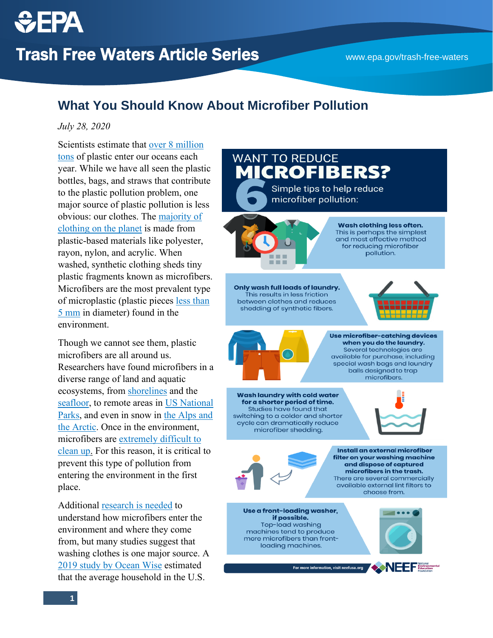## **What You Should Know About Microfiber Pollution**

## *July 28, 2020*

Scientists estimate that [over 8 million](https://www.iucn.org/resources/issues-briefs/marine-plastics)  [tons](https://www.iucn.org/resources/issues-briefs/marine-plastics) of plastic enter our oceans each year. While we have all seen the plastic bottles, bags, and straws that contribute to the plastic pollution problem, one major source of plastic pollution is less obvious: our clothes. The [majority of](https://www.unenvironment.org/news-and-stories/story/fashions-tiny-hidden-secret)  [clothing on the planet](https://www.unenvironment.org/news-and-stories/story/fashions-tiny-hidden-secret) is made from plastic-based materials like polyester, rayon, nylon, and acrylic. When washed, synthetic clothing sheds tiny plastic fragments known as microfibers. Microfibers are the most prevalent type of microplastic (plastic pieces [less than](https://www.epa.gov/trash-free-waters/toxicological-threats-plastic#microplastics)  [5 mm](https://www.epa.gov/trash-free-waters/toxicological-threats-plastic#microplastics) in diameter) found in the environment.

Though we cannot see them, plastic microfibers are all around us. Researchers have found microfibers in a diverse range of land and aquatic ecosystems, from [shorelines](https://pubs.acs.org/doi/abs/10.1021/es201811s) and the [seafloor,](https://science.sciencemag.org/content/368/6495/1140) to remote areas in [US National](https://www.sciencemag.org/news/2020/06/plastic-dust-blowing-us-national-parks-more-1000-tons-each-year)  [Parks,](https://www.sciencemag.org/news/2020/06/plastic-dust-blowing-us-national-parks-more-1000-tons-each-year) and even in snow in [the Alps and](https://advances.sciencemag.org/content/5/8/eaax1157)  [the Arctic.](https://advances.sciencemag.org/content/5/8/eaax1157) Once in the environment, microfibers are [extremely difficult to](https://rochmanlab.files.wordpress.com/2019/01/mcilwraith-et-al.-2019.pdf)  [clean up.](https://rochmanlab.files.wordpress.com/2019/01/mcilwraith-et-al.-2019.pdf) For this reason, it is critical to prevent this type of pollution from entering the environment in the first place.

Additional [research is needed](https://rochmanlab.files.wordpress.com/2019/01/mcilwraith-et-al.-2019.pdf) to understand how microfibers enter the environment and where they come from, but many studies suggest that washing clothes is one major source. A [2019 study by Ocean Wise](https://ocean.org/media-releases/new-report-canadian-and-us-laundry-releases-trillions-of-plastic-microfibers-into-the-ocean/) estimated that the average household in the U.S.

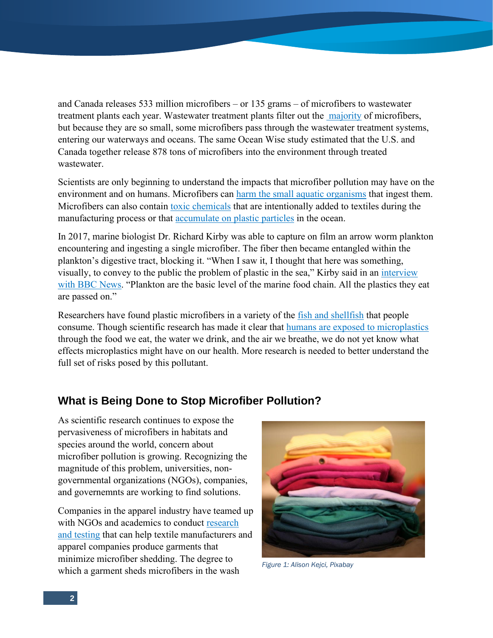and Canada releases 533 million microfibers – or 135 grams – of microfibers to wastewater treatment plants each year. Wastewater treatment plants filter out the [majority](https://www.sciencedirect.com/science/article/abs/pii/S0043135416300021?via%3Dihub) of microfibers, but because they are so small, some microfibers pass through the wastewater treatment systems, entering our waterways and oceans. The same Ocean Wise study estimated that the U.S. and Canada together release 878 tons of microfibers into the environment through treated wastewater.

Scientists are only beginning to understand the impacts that microfiber pollution may have on the environment and on humans. Microfibers can [harm the small aquatic organisms](https://www.sciencedirect.com/science/article/pii/S0269749116310533) that ingest them. Microfibers can also contain [toxic chemicals](https://rochmanlab.files.wordpress.com/2019/01/microfiber-policy-brief-2019.pdf) that are intentionally added to textiles during the manufacturing process or that [accumulate on plastic particles](https://www.epa.gov/trash-free-waters/toxicological-threats-plastic#pbts) in the ocean.

In 2017, marine biologist Dr. Richard Kirby was able to capture on film an arrow worm plankton encountering and ingesting a single microfiber. The fiber then became entangled within the plankton's digestive tract, blocking it. "When I saw it, I thought that here was something, visually, to convey to the public the problem of plastic in the sea," Kirby said in an [interview](https://www.bbc.com/news/science-environment-39217985)  [with BBC News](https://www.bbc.com/news/science-environment-39217985). "Plankton are the basic level of the marine food chain. All the plastics they eat are passed on."

Researchers have found plastic microfibers in a variety of the [fish and shellfish](https://www.nature.com/articles/srep14340) that people consume. Though scientific research has made it clear that [humans are exposed to microplastics](https://pubs.acs.org/doi/abs/10.1021/acs.est.9b01517) through the food we eat, the water we drink, and the air we breathe, we do not yet know what effects microplastics might have on our health. More research is needed to better understand the full set of risks posed by this pollutant.

## **What is Being Done to Stop Microfiber Pollution?**

As scientific research continues to expose the pervasiveness of microfibers in habitats and species around the world, concern about microfiber pollution is growing. Recognizing the magnitude of this problem, universities, nongovernmental organizations (NGOs), companies, and governemnts are working to find solutions.

Companies in the apparel industry have teamed up with NGOs and academics to conduct research [and testing](https://www.microfibreconsortium.com/about) that can help textile manufacturers and apparel companies produce garments that minimize microfiber shedding. The degree to which a garment sheds microfibers in the wash *Figure 1: Alison Kejci, Pixabay*

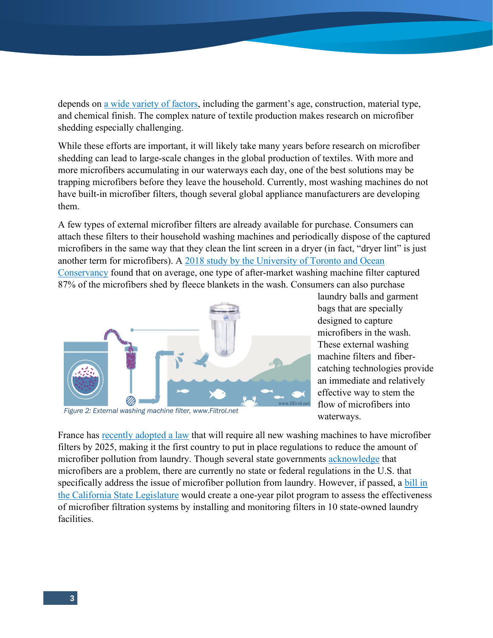depends on [a wide variety of factors](https://www.sciencedirect.com/science/article/abs/pii/S0025326X16307639), including the garment's age, construction, material type, and chemical finish. The complex nature of textile production makes research on microfiber shedding especially challenging.

While these efforts are important, it will likely take many years before research on microfiber shedding can lead to large-scale changes in the global production of textiles. With more and more microfibers accumulating in our waterways each day, one of the best solutions may be trapping microfibers before they leave the household. Currently, most washing machines do not have built-in microfiber filters, though several global appliance manufacturers are developing them.

A few types of external microfiber filters are already available for purchase. Consumers can attach these filters to their household washing machines and periodically dispose of the captured microfibers in the same way that they clean the lint screen in a dryer (in fact, "dryer lint" is just another term for microfibers). A [2018 study by the University of Toronto and Ocean](https://rochmanlab.files.wordpress.com/2019/01/mcilwraith-et-al.-2019.pdf)  [Conservancy](https://rochmanlab.files.wordpress.com/2019/01/mcilwraith-et-al.-2019.pdf) found that on average, one type of after-market washing machine filter captured 87% of the microfibers shed by fleece blankets in the wash. Consumers can also purchase



*Figure 2: External washing machine filter, www.Filtrol.net*

laundry balls and garment bags that are specially designed to capture microfibers in the wash. These external washing machine filters and fibercatching technologies provide an immediate and relatively effective way to stem the flow of microfibers into waterways.

France has [recently adopted a law](https://www.oceancleanwash.org/2020/02/france-is-leading-the-fight-against-plastic-microfibers/) that will require all new washing machines to have microfiber filters by 2025, making it the first country to put in place regulations to reduce the amount of microfiber pollution from laundry. Though several state governments [acknowledge](https://portal.ct.gov/DEEP/P2/Microfiber-Pollution) that microfibers are a problem, there are currently no state or federal regulations in the U.S. that specifically address the issue of microfiber pollution from laundry. However, if passed, a [bill in](https://leginfo.legislature.ca.gov/faces/billTextClient.xhtml?bill_id=201920200AB1952)  [the California State Legislature](https://leginfo.legislature.ca.gov/faces/billTextClient.xhtml?bill_id=201920200AB1952) would create a one-year pilot program to assess the effectiveness of microfiber filtration systems by installing and monitoring filters in 10 state-owned laundry facilities.